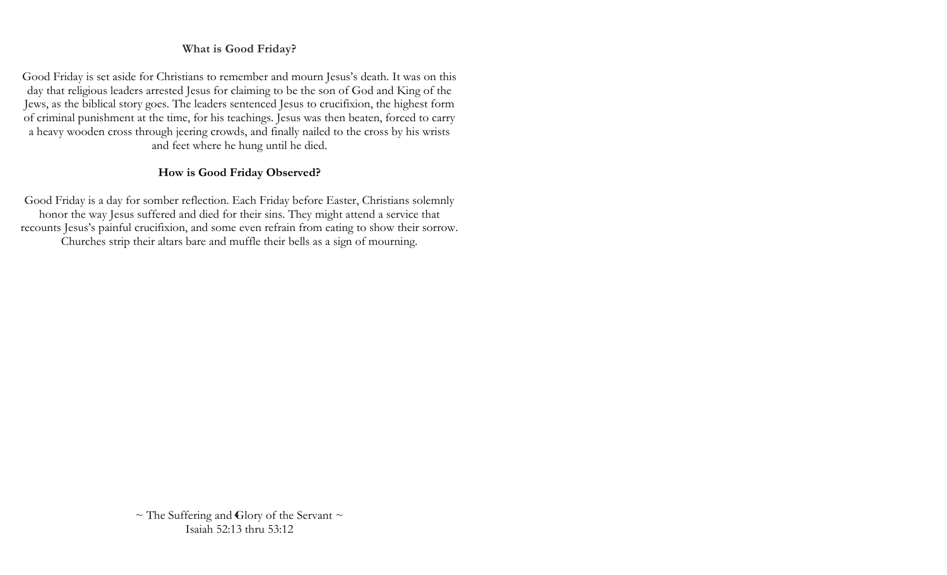#### **What is Good Friday?**

Good Friday is set aside for Christians to remember and mourn Jesus's death. It was on this day that religious leaders arrested Jesus for claiming to be the son of God and King of the Jews, as the [biblical story](https://www.christianity.com/god/jesus-christ/what-s-so-good-about-good-friday.html) goes. The leaders sentenced Jesus to crucifixion, the highest form of criminal punishment at the time, for his teachings. Jesus was then beaten, forced to carry a heavy wooden cross through jeering crowds, and finally nailed to the cross by his wrists and feet where he hung until he died.

## **How is Good Friday Observed?**

Good Friday is a day for somber reflection. Each Friday before Easter, Christians solemnly honor the way Jesus suffered and died for their sins. They might attend a service that recounts Jesus's painful crucifixion, and some even refrain from eating to show their sorrow. Churches strip their altars bare and muffle their bells as a sign of mourning.

> $\sim$  The Suffering and Glory of the Servant  $\sim$ Isaiah 52:13 thru 53:12